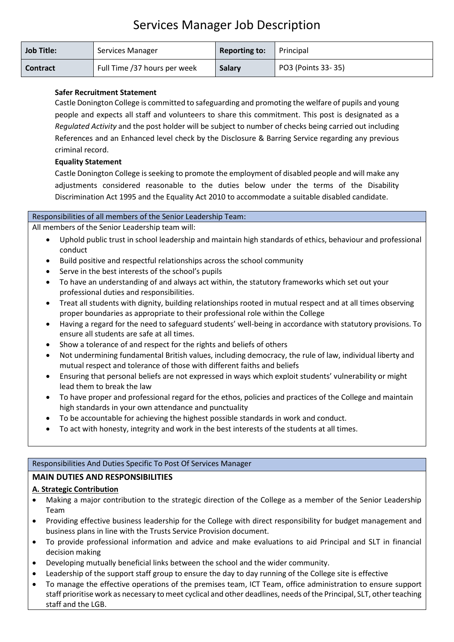# Services Manager Job Description

| <b>Job Title:</b> | Services Manager             | <b>Reporting to:</b> | Principal          |
|-------------------|------------------------------|----------------------|--------------------|
| <b>Contract</b>   | Full Time /37 hours per week | <b>Salary</b>        | PO3 (Points 33-35) |

## **Safer Recruitment Statement**

Castle Donington College is committed to safeguarding and promoting the welfare of pupils and young people and expects all staff and volunteers to share this commitment. This post is designated as a *Regulated Activity* and the post holder will be subject to number of checks being carried out including References and an Enhanced level check by the Disclosure & Barring Service regarding any previous criminal record.

#### **Equality Statement**

Castle Donington College is seeking to promote the employment of disabled people and will make any adjustments considered reasonable to the duties below under the terms of the Disability Discrimination Act 1995 and the Equality Act 2010 to accommodate a suitable disabled candidate.

#### Responsibilities of all members of the Senior Leadership Team:

All members of the Senior Leadership team will:

- Uphold public trust in school leadership and maintain high standards of ethics, behaviour and professional conduct
- Build positive and respectful relationships across the school community
- Serve in the best interests of the school's pupils
- To have an understanding of and always act within, the statutory frameworks which set out your professional duties and responsibilities.
- Treat all students with dignity, building relationships rooted in mutual respect and at all times observing proper boundaries as appropriate to their professional role within the College
- Having a regard for the need to safeguard students' well-being in accordance with statutory provisions. To ensure all students are safe at all times.
- Show a tolerance of and respect for the rights and beliefs of others
- Not undermining fundamental British values, including democracy, the rule of law, individual liberty and mutual respect and tolerance of those with different faiths and beliefs
- Ensuring that personal beliefs are not expressed in ways which exploit students' vulnerability or might lead them to break the law
- To have proper and professional regard for the ethos, policies and practices of the College and maintain high standards in your own attendance and punctuality
- To be accountable for achieving the highest possible standards in work and conduct.
- To act with honesty, integrity and work in the best interests of the students at all times.

#### Responsibilities And Duties Specific To Post Of Services Manager

## **MAIN DUTIES AND RESPONSIBILITIES**

## **A. Strategic Contribution**

- Making a major contribution to the strategic direction of the College as a member of the Senior Leadership Team
- Providing effective business leadership for the College with direct responsibility for budget management and business plans in line with the Trusts Service Provision document.
- To provide professional information and advice and make evaluations to aid Principal and SLT in financial decision making
- Developing mutually beneficial links between the school and the wider community.
- Leadership of the support staff group to ensure the day to day running of the College site is effective
- To manage the effective operations of the premises team, ICT Team, office administration to ensure support staff prioritise work as necessary to meet cyclical and other deadlines, needs of the Principal, SLT, other teaching staff and the LGB.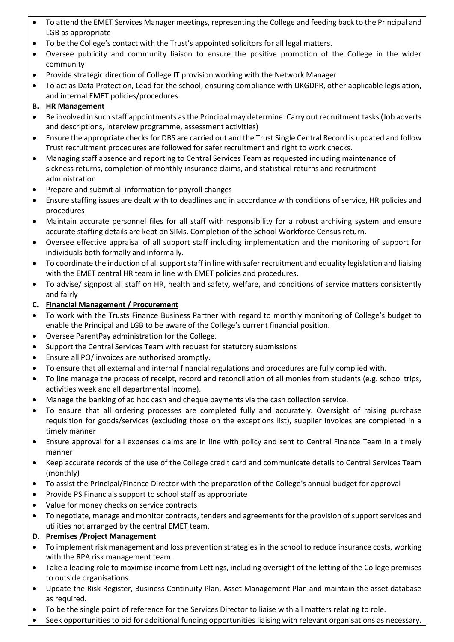- To attend the EMET Services Manager meetings, representing the College and feeding back to the Principal and LGB as appropriate
- To be the College's contact with the Trust's appointed solicitors for all legal matters.
- Oversee publicity and community liaison to ensure the positive promotion of the College in the wider community
- Provide strategic direction of College IT provision working with the Network Manager
- To act as Data Protection, Lead for the school, ensuring compliance with UKGDPR, other applicable legislation, and internal EMET policies/procedures.

## **B. HR Management**

- Be involved in such staff appointments as the Principal may determine. Carry out recruitment tasks (Job adverts and descriptions, interview programme, assessment activities)
- Ensure the appropriate checks for DBS are carried out and the Trust Single Central Record is updated and follow Trust recruitment procedures are followed for safer recruitment and right to work checks.
- Managing staff absence and reporting to Central Services Team as requested including maintenance of sickness returns, completion of monthly insurance claims, and statistical returns and recruitment administration
- Prepare and submit all information for payroll changes
- Ensure staffing issues are dealt with to deadlines and in accordance with conditions of service, HR policies and procedures
- Maintain accurate personnel files for all staff with responsibility for a robust archiving system and ensure accurate staffing details are kept on SIMs. Completion of the School Workforce Census return.
- Oversee effective appraisal of all support staff including implementation and the monitoring of support for individuals both formally and informally.
- To coordinate the induction of all support staff in line with safer recruitment and equality legislation and liaising with the EMET central HR team in line with EMET policies and procedures.
- To advise/ signpost all staff on HR, health and safety, welfare, and conditions of service matters consistently and fairly

## **C. Financial Management / Procurement**

- To work with the Trusts Finance Business Partner with regard to monthly monitoring of College's budget to enable the Principal and LGB to be aware of the College's current financial position.
- Oversee ParentPay administration for the College.
- Support the Central Services Team with request for statutory submissions
- Ensure all PO/ invoices are authorised promptly.
- To ensure that all external and internal financial regulations and procedures are fully complied with.
- To line manage the process of receipt, record and reconciliation of all monies from students (e.g. school trips, activities week and all departmental income).
- Manage the banking of ad hoc cash and cheque payments via the cash collection service.
- To ensure that all ordering processes are completed fully and accurately. Oversight of raising purchase requisition for goods/services (excluding those on the exceptions list), supplier invoices are completed in a timely manner
- Ensure approval for all expenses claims are in line with policy and sent to Central Finance Team in a timely manner
- Keep accurate records of the use of the College credit card and communicate details to Central Services Team (monthly)
- To assist the Principal/Finance Director with the preparation of the College's annual budget for approval
- Provide PS Financials support to school staff as appropriate
- Value for money checks on service contracts
- To negotiate, manage and monitor contracts, tenders and agreements for the provision of support services and utilities not arranged by the central EMET team.

## **D. Premises /Project Management**

- To implement risk management and loss prevention strategies in the school to reduce insurance costs, working with the RPA risk management team.
- Take a leading role to maximise income from Lettings, including oversight of the letting of the College premises to outside organisations.
- Update the Risk Register, Business Continuity Plan, Asset Management Plan and maintain the asset database as required.
- To be the single point of reference for the Services Director to liaise with all matters relating to role.
- Seek opportunities to bid for additional funding opportunities liaising with relevant organisations as necessary.